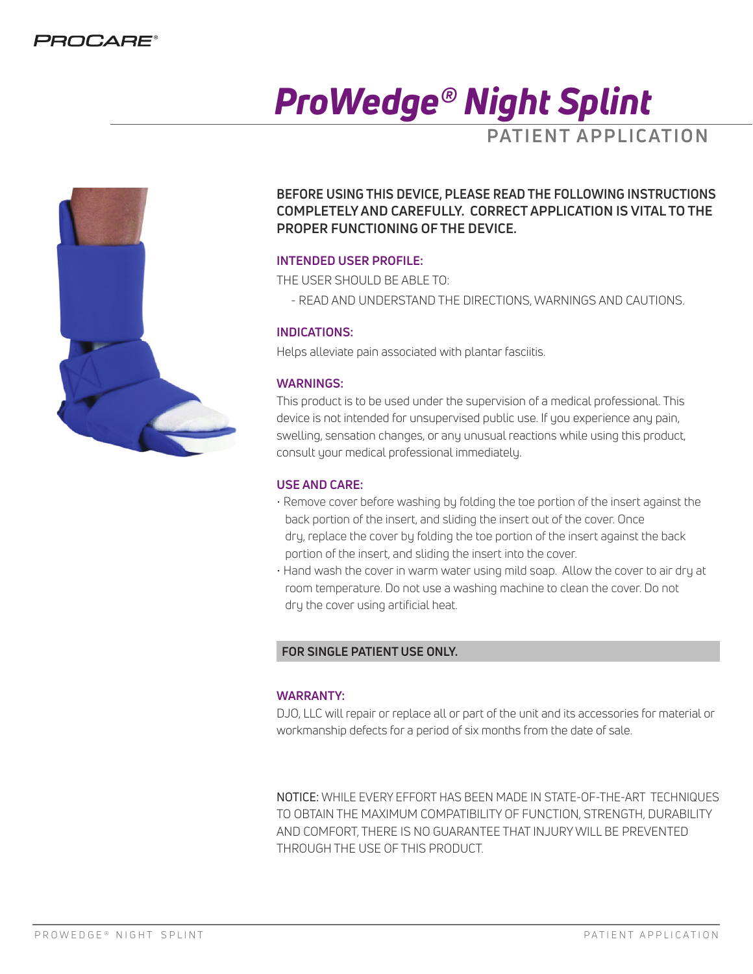

# *ProWedge® Night Splint* **PATIENT APPLICATION**



**BEFORE USING THIS DEVICE, PLEASE READ THE FOLLOWING INSTRUCTIONS COMPLETELY AND CAREFULLY. CORRECT APPLICATION IS VITAL TO THE PROPER FUNCTIONING OF THE DEVICE.** 

#### **INTENDED USER PROFILE:**

THE USER SHOULD BE ABLE TO:

- READ AND UNDERSTAND THE DIRECTIONS, WARNINGS AND CAUTIONS.

#### **INDICATIONS:**

Helps alleviate pain associated with plantar fasciitis.

#### **WARNINGS:**

This product is to be used under the supervision of a medical professional. This device is not intended for unsupervised public use. If you experience any pain, swelling, sensation changes, or any unusual reactions while using this product, consult your medical professional immediately.

#### **USE AND CARE:**

- Remove cover before washing by folding the toe portion of the insert against the back portion of the insert, and sliding the insert out of the cover. Once dry, replace the cover by folding the toe portion of the insert against the back portion of the insert, and sliding the insert into the cover.
- Hand wash the cover in warm water using mild soap. Allow the cover to air dry at room temperature. Do not use a washing machine to clean the cover. Do not dry the cover using artificial heat.

## **FOR SINGLE PATIENT USE ONLY.**

#### **WARRANTY:**

DJO, LLC will repair or replace all or part of the unit and its accessories for material or workmanship defects for a period of six months from the date of sale.

NOTICE: WHILE EVERY EFFORT HAS BEEN MADE IN STATE-OF-THE-ART TECHNIQUES TO OBTAIN THE MAXIMUM COMPATIBILITY OF FUNCTION, STRENGTH, DURABILITY AND COMFORT, THERE IS NO GUARANTEE THAT INJURY WILL BE PREVENTED THROUGH THE USE OF THIS PRODUCT.